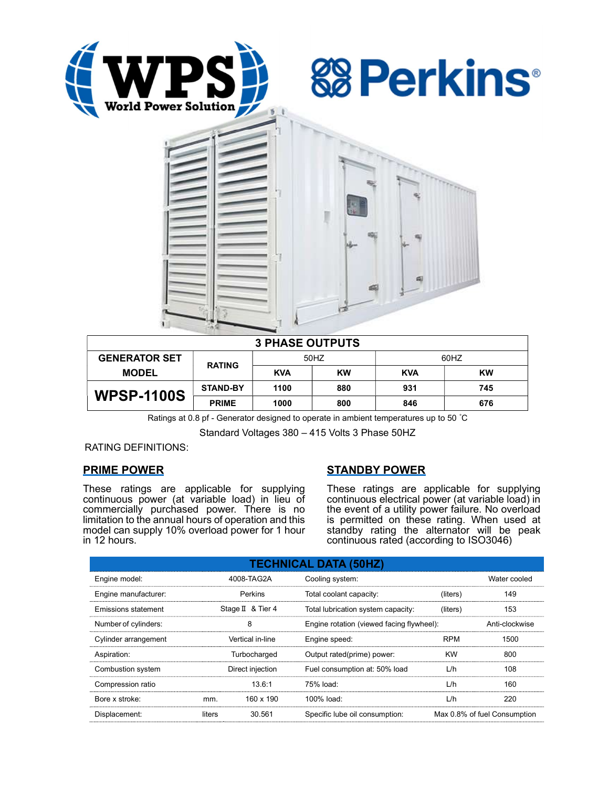





| <b>3 PHASE OUTPUTS</b> |                 |            |     |            |           |  |  |
|------------------------|-----------------|------------|-----|------------|-----------|--|--|
| <b>GENERATOR SET</b>   | <b>RATING</b>   | 50HZ       |     | 60HZ       |           |  |  |
| <b>MODEL</b>           |                 | <b>KVA</b> | KW  | <b>KVA</b> | <b>KW</b> |  |  |
| <b>WPSP-1100S</b>      | <b>STAND-BY</b> | 1100       | 880 | 931        | 745       |  |  |
|                        | <b>PRIME</b>    | 1000       | 800 | 846        | 676       |  |  |

Ratings at 0.8 pf - Generator designed to operate in ambient temperatures up to 50 °C

Standard Voltages 380 – 415 Volts 3 Phase 50HZ

RATING DEFINITIONS:

# PRIME POWER

These ratings are applicable for supplying continuous power (at variable load) in lieu of commercially purchased power. There is no limitation to the annual hours of operation and this model can supply 10% overload power for 1 hour in 12 hours.

# STANDBY POWER

These ratings are applicable for supplying continuous electrical power (at variable load) in the event of a utility power failure. No overload is permitted on these rating. When used at standby rating the alternator will be peak continuous rated (according to ISO3046)

| <b>TECHNICAL DATA (50HZ)</b> |        |                   |                                           |            |                              |  |
|------------------------------|--------|-------------------|-------------------------------------------|------------|------------------------------|--|
| Engine model:                |        | 4008-TAG2A        | Cooling system:                           |            | Water cooled                 |  |
| Engine manufacturer:         |        | <b>Perkins</b>    | Total coolant capacity:                   | (liters)   | 149                          |  |
| Emissions statement          |        | Stage II & Tier 4 | Total lubrication system capacity:        | (liters)   | 153                          |  |
| Number of cylinders:         |        | 8                 | Engine rotation (viewed facing flywheel): |            | Anti-clockwise               |  |
| Cylinder arrangement         |        | Vertical in-line  | Engine speed:                             | <b>RPM</b> | 1500                         |  |
| Aspiration:                  |        | Turbocharged      | Output rated(prime) power:                | <b>KW</b>  | 800                          |  |
| Combustion system            |        | Direct injection  | Fuel consumption at: 50% load             | L/h        | 108                          |  |
| Compression ratio            |        | 13.6:1            | 75% load:                                 | L/h        | 160                          |  |
| Bore x stroke:               | mm.    | 160 x 190         | $100\%$ load:                             | L/h        | 220                          |  |
| Displacement:                | liters | 30.561            | Specific lube oil consumption:            |            | Max 0.8% of fuel Consumption |  |